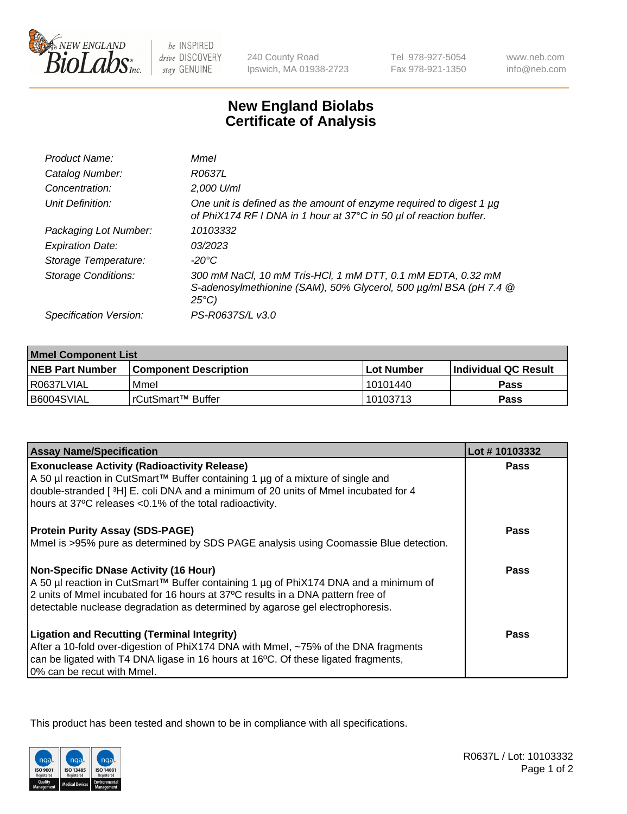

 $be$  INSPIRED drive DISCOVERY stay GENUINE

240 County Road Ipswich, MA 01938-2723 Tel 978-927-5054 Fax 978-921-1350

www.neb.com info@neb.com

## **New England Biolabs Certificate of Analysis**

| Product Name:              | Mmel                                                                                                                                                |
|----------------------------|-----------------------------------------------------------------------------------------------------------------------------------------------------|
| Catalog Number:            | R0637L                                                                                                                                              |
| Concentration:             | 2,000 U/ml                                                                                                                                          |
| Unit Definition:           | One unit is defined as the amount of enzyme required to digest 1 µg<br>of PhiX174 RF I DNA in 1 hour at 37°C in 50 µl of reaction buffer.           |
| Packaging Lot Number:      | 10103332                                                                                                                                            |
| <b>Expiration Date:</b>    | 03/2023                                                                                                                                             |
| Storage Temperature:       | -20°C                                                                                                                                               |
| <b>Storage Conditions:</b> | 300 mM NaCl, 10 mM Tris-HCl, 1 mM DTT, 0.1 mM EDTA, 0.32 mM<br>S-adenosylmethionine (SAM), 50% Glycerol, 500 µg/ml BSA (pH 7.4 @<br>$25^{\circ}C$ ) |
| Specification Version:     | PS-R0637S/L v3.0                                                                                                                                    |
|                            |                                                                                                                                                     |

| <b>Mmel Component List</b> |                              |                   |                       |  |
|----------------------------|------------------------------|-------------------|-----------------------|--|
| <b>NEB Part Number</b>     | <b>Component Description</b> | <b>Lot Number</b> | ∣Individual QC Result |  |
| R0637LVIAL                 | Mmel                         | 10101440          | Pass                  |  |
| B6004SVIAL                 | l rCutSmart™ Buffer          | 10103713          | Pass                  |  |

| <b>Assay Name/Specification</b>                                                                                                                                                                                                                                                                            | Lot #10103332 |
|------------------------------------------------------------------------------------------------------------------------------------------------------------------------------------------------------------------------------------------------------------------------------------------------------------|---------------|
| <b>Exonuclease Activity (Radioactivity Release)</b><br>A 50 µl reaction in CutSmart™ Buffer containing 1 µg of a mixture of single and<br>double-stranded [3H] E. coli DNA and a minimum of 20 units of Mmel incubated for 4<br>hours at 37°C releases <0.1% of the total radioactivity.                   | <b>Pass</b>   |
| <b>Protein Purity Assay (SDS-PAGE)</b><br>Mmel is >95% pure as determined by SDS PAGE analysis using Coomassie Blue detection.                                                                                                                                                                             | Pass          |
| <b>Non-Specific DNase Activity (16 Hour)</b><br>  A 50 µl reaction in CutSmart™ Buffer containing 1 µg of PhiX174 DNA and a minimum of<br>2 units of Mmel incubated for 16 hours at 37°C results in a DNA pattern free of<br>detectable nuclease degradation as determined by agarose gel electrophoresis. | Pass          |
| <b>Ligation and Recutting (Terminal Integrity)</b><br>After a 10-fold over-digestion of PhiX174 DNA with Mmel, ~75% of the DNA fragments<br>can be ligated with T4 DNA ligase in 16 hours at 16°C. Of these ligated fragments,<br>0% can be recut with Mmel.                                               | Pass          |

This product has been tested and shown to be in compliance with all specifications.